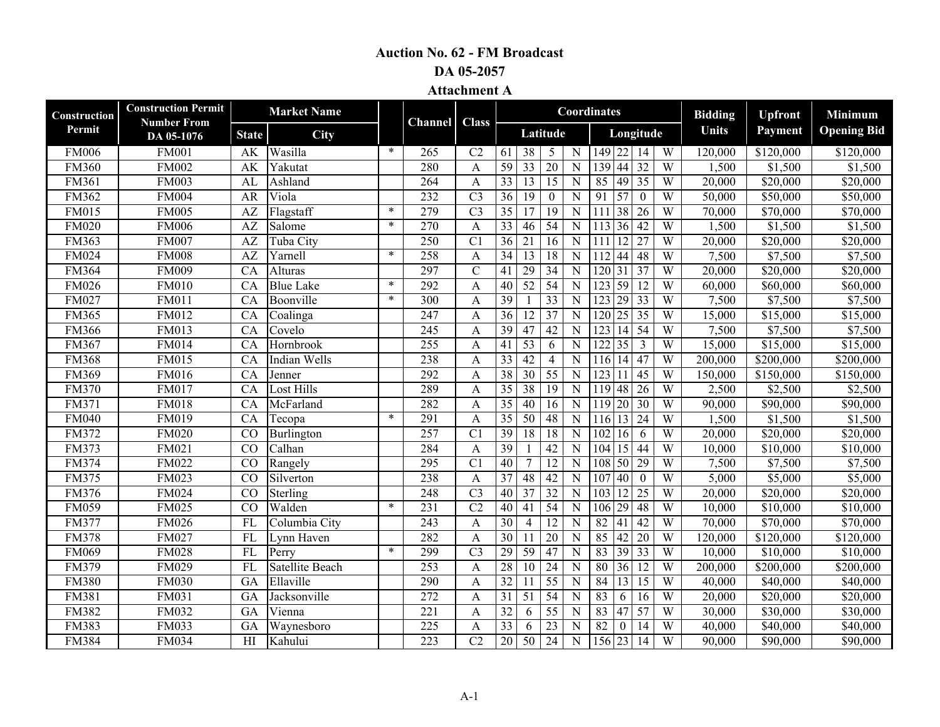## **Auction No. 62 - FM Broadcast**

**DA 05-2057**

**Attachment A**

| Construction | <b>Construction Permit</b>       |                 | <b>Market Name</b>           |        |                  |                 |                 |                 |                  |                | Coordinates                               |                | <b>Bidding</b> | <b>Upfront</b>        | Minimum              |
|--------------|----------------------------------|-----------------|------------------------------|--------|------------------|-----------------|-----------------|-----------------|------------------|----------------|-------------------------------------------|----------------|----------------|-----------------------|----------------------|
| Permit       | <b>Number From</b><br>DA 05-1076 | <b>State</b>    | City                         |        | Channel          | <b>Class</b>    |                 |                 | Latitude         |                | Longitude                                 |                | <b>Units</b>   | Payment               | <b>Opening Bid</b>   |
| <b>FM006</b> | <b>FM001</b>                     | AK              | Wasilla                      | $\ast$ | 265              | C <sub>2</sub>  | 61              | 38              | 5                | $\overline{N}$ | $149$ 22 14                               | W              | 120,000        | \$120,000             | \$120,000            |
| <b>FM360</b> | <b>FM002</b>                     | AK              | Yakutat                      |        | 280              | $\mathbf{A}$    | 59              | 33              | $\overline{20}$  | $\mathbf N$    | 44 32<br>139                              | W              | 1,500          | \$1,500               | \$1,500              |
| <b>FM361</b> | <b>FM003</b>                     | AL              | Ashland                      |        | 264              | A               | $\overline{33}$ | 13              | $\overline{15}$  | $\mathbf N$    | 85<br>49 35                               | W              | 20,000         | \$20,000              | \$20,000             |
| FM362        | <b>FM004</b>                     | AR              | Viola                        |        | 232              | $\overline{C}3$ | 36              | 19              | $\boldsymbol{0}$ | $\mathbf N$    | 91<br>$\overline{57}$<br>$\boldsymbol{0}$ | W              | 50,000         | \$50,000              | \$50,000             |
| FM015        | <b>FM005</b>                     | AZ              | Flagstaff                    | $\ast$ | 279              | $\overline{C}3$ | $\overline{35}$ | 17              | $\overline{19}$  | $\mathbf N$    | 38 26<br>111                              | $\overline{W}$ | 70,000         | \$70,000              | \$70,000             |
| <b>FM020</b> | <b>FM006</b>                     | AZ              | Salome                       | $\ast$ | 270              | A               | 33              | 46              | 54               | $\mathbf N$    | $36 \mid 42$<br>113                       | $\overline{W}$ | 1,500          | \$1,500               | \$1,500              |
| FM363        | <b>FM007</b>                     | AZ              | Tuba City                    |        | 250              | C <sub>1</sub>  | 36              | 21              | 16               | $\mathbf N$    | $12 \mid 27$<br>111                       | W              | 20,000         | \$20,000              | \$20,000             |
| FM024        | $F\overline{M008}$               | AZ              | Yarnell                      | $\ast$ | 258              | A               | $\overline{34}$ | 13              | 18               | $\mathbf N$    | 44 48<br>112                              | W              | 7,500          | \$7,500               | \$7,500              |
| FM364        | <b>FM009</b>                     | CA              | Alturas                      |        | 297              | $\mathcal{C}$   | 41              | 29              | 34               | N              | 31 37<br>120                              | W              | 20,000         | \$20,000              | \$20,000             |
| <b>FM026</b> | <b>FM010</b>                     | CA              | <b>Blue Lake</b>             | $\ast$ | 292              | A               | 40              | 52              | 54               | N              | 59 12<br>123                              | $\overline{W}$ | 60,000         | \$60,000              | \$60,000             |
| FM027        | <b>FM011</b>                     | CA              | Boonville                    | $\ast$ | 300              | A               | 39              |                 | $\overline{33}$  | N              | 29 33<br>123                              | $\overline{W}$ | 7,500          | \$7,500               | \$7,500              |
| <b>FM365</b> | FM012                            | CA              | Coalinga                     |        | 247              | A               | $\overline{36}$ | $\overline{12}$ | 37               | $\overline{N}$ | $25 \mid 35$<br>120                       | W              | 15,000         | \$15,000              | \$15,000             |
| FM366        | <b>FM013</b>                     | CA              | Covelo                       |        | $\overline{245}$ | $\mathbf{A}$    | $\overline{39}$ | $\overline{47}$ | $\overline{42}$  | $\mathbf N$    | $14 \mid 54$<br>123                       | $\overline{W}$ | 7,500          | \$7,500               | \$7,500              |
| FM367        | <b>FM014</b>                     | CA              | Hornbrook                    |        | 255              | A               | 41              | $\overline{53}$ | 6                | N              | 35<br>$\overline{122}$<br>$\overline{3}$  | $\overline{W}$ | 15,000         | \$15,000              | \$15,000             |
| <b>FM368</b> | <b>FM015</b>                     | CA              | Indian Wells                 |        | 238              | A               | $\overline{33}$ | 42              | $\overline{4}$   | N              | $14 \mid 47$<br>116                       | $\overline{W}$ | 200,000        | \$200,000             | \$200,000            |
| FM369        | <b>FM016</b>                     | CA              | Jenner                       |        | 292              | A               | $\overline{38}$ | 30              | $\overline{55}$  | N              | 123<br>11 <sup>1</sup><br>45              | W              | 150,000        | \$150,000             | \$150,000            |
| <b>FM370</b> | <b>FM017</b>                     | CA              | <b>Lost Hills</b>            |        | 289              | A               | $\overline{35}$ | 38              | 19               | N              | 119<br>$48 \mid 26$                       | $\overline{W}$ | 2,500          | \$2,500               | \$2,500              |
| FM371        | <b>FM018</b>                     | CA              | McFarland                    |        | 282              | A               | $\overline{35}$ | 40              | 16               | N              | 119<br>20 30                              | $\overline{W}$ | 90,000         | $\overline{$90,000}$  | \$90,000             |
| <b>FM040</b> | FM019                            | CA              | Tecopa                       | $\ast$ | 291              | A               | $\overline{35}$ | $\overline{50}$ | 48               | N              | 13 24<br>116                              | $\overline{W}$ | 1,500          | \$1,500               | \$1,500              |
| FM372        | <b>FM020</b>                     | CO              | Burlington                   |        | 257              | C <sub>1</sub>  | 39              | 18              | 18               | N              | 102<br>16<br>6                            | W              | 20,000         | \$20,000              | \$20,000             |
| <b>FM373</b> | FM021                            | $\overline{CO}$ | Calhan                       |        | 284              | A               | 39              |                 | $\overline{42}$  | N              | 104<br>15 44                              | $\overline{W}$ | 10,000         | \$10,000              | \$10,000             |
| FM374        | FM022                            | CO              | Rangely                      |        | $\overline{295}$ | C <sub>1</sub>  | 40              | $\overline{7}$  | $\overline{12}$  | N              | 108<br>50 29                              | $\overline{W}$ | 7,500          | \$7,500               | \$7,500              |
| <b>FM375</b> | FM023                            | CO              | Silverton                    |        | 238              | A               | 37              | 48              | 42               | N              | 107<br>40<br>$\theta$                     | W              | 5,000          | $\overline{$}5,000$   | \$5,000              |
| FM376        | <b>FM024</b>                     | $\overline{CO}$ | $\overline{\text{Sterling}}$ |        | 248              | $\overline{C}3$ | $\overline{40}$ | 37              | $\overline{32}$  | $\mathbf N$    | 103<br>12 25                              | $\overline{W}$ | 20,000         | \$20,000              | \$20,000             |
| <b>FM059</b> | FM025                            | $\overline{CQ}$ | Walden                       | $\ast$ | 231              | $\overline{C2}$ | 40              | 41              | $\overline{54}$  | $\mathbf N$    | 106<br>29 48                              | W              | 10,000         | \$10,000              | \$10,000             |
| <b>FM377</b> | <b>FM026</b>                     | FL              | Columbia City                |        | 243              | A               | $\overline{30}$ | $\overline{4}$  | $\overline{12}$  | $\mathbf N$    | $\overline{82}$<br>$41 \mid 42$           | $\overline{W}$ | 70,000         | \$70,000              | \$70,000             |
| <b>FM378</b> | FM027                            | <b>FL</b>       | Lynn Haven                   |        | 282              | $\mathbf{A}$    | $\overline{30}$ | 11              | 20               | $\mathbf N$    | 85<br>$42$ 20                             | $\overline{W}$ | 120,000        | $\overline{$}120,000$ | \$120,000            |
| <b>FM069</b> | <b>FM028</b>                     | FL              | Perry                        | $\ast$ | 299              | C <sub>3</sub>  | 29              | $\overline{59}$ | 47               | $\overline{N}$ | 39 33<br>83                               | $\overline{W}$ | 10,000         | \$10,000              | \$10,000             |
| FM379        | FM029                            | FL              | <b>Satellite Beach</b>       |        | 253              | A               | 28              | 10              | $\overline{24}$  | $\overline{N}$ | 80<br>36 12                               | $\overline{W}$ | 200,000        | \$200,000             | \$200,000            |
| <b>FM380</b> | <b>FM030</b>                     | GA              | Ellaville                    |        | 290              | A               | 32              | -11             | $\overline{55}$  | $\overline{N}$ | 84<br>$13 \mid 15$                        | $\overline{W}$ | 40,000         | \$40,000              | $\overline{$40,000}$ |
| FM381        | <b>FM031</b>                     | GA              | Jacksonville                 |        | 272              | A               | 31              | 51              | $\overline{54}$  | $\mathbf N$    | 83<br>6<br>16                             | W              | 20,000         | \$20,000              | \$20,000             |
| <b>FM382</b> | FM032                            | GA              | Vienna                       |        | 221              | A               | 32              | 6               | 55               | $\overline{N}$ | 83<br>$47 \overline{57}$                  | $\overline{W}$ | 30,000         | $\overline{$}30,000$  | \$30,000             |
| <b>FM383</b> | FM033                            | GA              | Waynesboro                   |        | 225              | A               | 33              | 6               | 23               | N              | 82<br>$\mathbf{0}$<br>14                  | $\overline{W}$ | 40,000         | \$40,000              | \$40,000             |
| <b>FM384</b> | <b>FM034</b>                     | HI              | Kahului                      |        | $\overline{223}$ | C <sub>2</sub>  | $\overline{20}$ | 50              | 24               | $\mathbf N$    | 156 23 14                                 | $\overline{W}$ | 90,000         | \$90,000              | \$90,000             |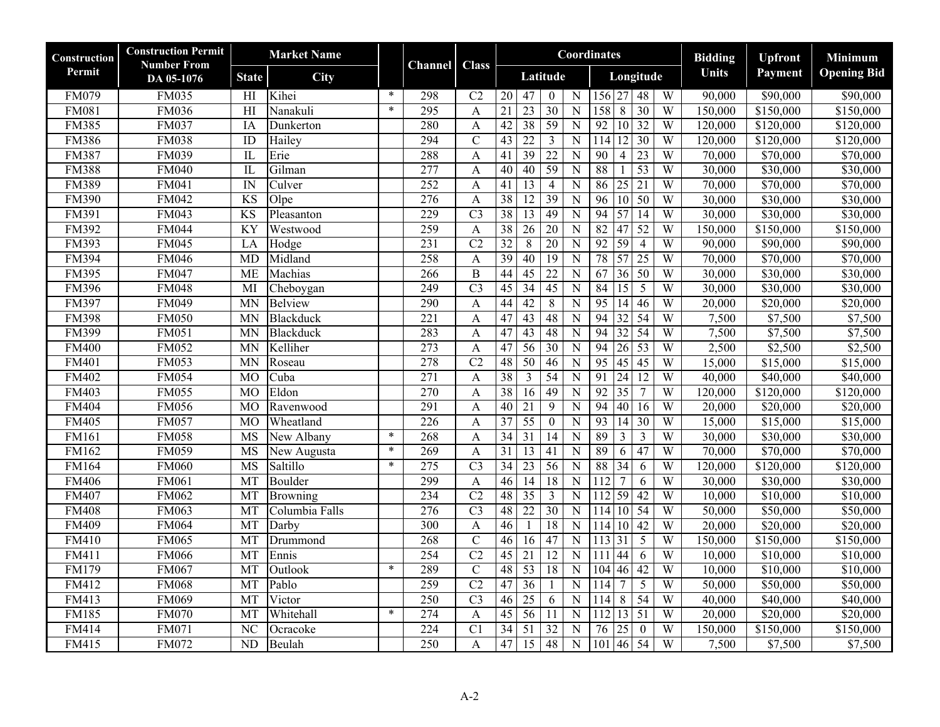| Construction | <b>Construction Permit</b><br><b>Number From</b> | <b>Market Name</b>      |                  |        | Channel          | <b>Class</b>     |                 |                 |                  |                       | Coordinates                               |                | <b>Bidding</b> | <b>Upfront</b>       | Minimum            |
|--------------|--------------------------------------------------|-------------------------|------------------|--------|------------------|------------------|-----------------|-----------------|------------------|-----------------------|-------------------------------------------|----------------|----------------|----------------------|--------------------|
| Permit       | DA 05-1076                                       | <b>State</b>            | <b>City</b>      |        |                  |                  |                 |                 | Latitude         |                       | Longitude                                 |                | <b>Units</b>   | Payment              | <b>Opening Bid</b> |
| <b>FM079</b> | <b>FM035</b>                                     | HI                      | Kihei            | $\ast$ | 298              | C <sub>2</sub>   | 20              | 47              | $\mathbf{0}$     | $\overline{\text{N}}$ | 156 27<br>48                              | W              | 90,000         | \$90,000             | \$90,000           |
| <b>FM081</b> | <b>FM036</b>                                     | H1                      | Nanakuli         | $\ast$ | 295              | $\mathbf{A}$     | $\overline{21}$ | 23              | 30               | N                     | 30<br>158<br>$\overline{8}$               | W              | 150,000        | \$150,000            | \$150,000          |
| <b>FM385</b> | <b>FM037</b>                                     | <b>IA</b>               | Dunkerton        |        | 280              | A                | 42              | 38              | $\overline{59}$  | N                     | 92<br>10<br>$\overline{32}$               | $\overline{W}$ | 120,000        | \$120,000            | \$120,000          |
| <b>FM386</b> | <b>FM038</b>                                     | ID                      | Hailey           |        | 294              | $\overline{C}$   | 43              | 22              | $\overline{3}$   | $\overline{\rm N}$    | 12 <br>30<br>114                          | W              | 120,000        | \$120,000            | \$120,000          |
| <b>FM387</b> | <b>FM039</b>                                     | $\mathbf{L}$            | Erie             |        | 288              | $\mathbf{A}$     | 41              | $\overline{39}$ | $\overline{22}$  | ${\bf N}$             | 90<br>23<br>$\overline{4}$                | $\overline{W}$ | 70,000         | \$70,000             | \$70,000           |
| <b>FM388</b> | <b>FM040</b>                                     | $\overline{\mathbb{L}}$ | Gilman           |        | 277              | $\mathbf{A}$     | 40              | 40              | 59               | $\overline{N}$        | 88<br>53                                  | W              | 30,000         | \$30,000             | \$30,000           |
| <b>FM389</b> | <b>FM041</b>                                     | $\overline{\mathbb{N}}$ | Culver           |        | 252              | A                | 41              | 13              | $\overline{4}$   | $\overline{N}$        | $\overline{25}$<br>21<br>86               | W              | 70,000         | \$70,000             | \$70,000           |
| <b>FM390</b> | FM042                                            | <b>KS</b>               | Olpe             |        | $\overline{276}$ | $\mathbf{A}$     | $\overline{38}$ | 12              | 39               | $\mathbf N$           | $10\overline{50}$<br>96                   | $\overline{W}$ | 30,000         | \$30,000             | \$30,000           |
| FM391        | <b>FM043</b>                                     | $\overline{\text{KS}}$  | Pleasanton       |        | 229              | $\overline{C}3$  | 38              | $\overline{13}$ | 49               | $\mathbf N$           | 57<br>94<br>$\overline{14}$               | W              | 30,000         | \$30,000             | \$30,000           |
| <b>FM392</b> | <b>FM044</b>                                     | <b>KY</b>               | Westwood         |        | 259              | $\mathbf{A}$     | 38              | $\overline{26}$ | 20               | $\overline{N}$        | 82<br>47<br>52                            | W              | 150,000        | \$150,000            | \$150,000          |
| <b>FM393</b> | <b>FM045</b>                                     | LA                      | Hodge            |        | 231              | C2               | 32              | 8               | 20               | $\overline{N}$        | 59<br>92<br>$\overline{4}$                | W              | 90,000         | \$90,000             | \$90,000           |
| <b>FM394</b> | <b>FM046</b>                                     | MD                      | Midland          |        | 258              | $\mathbf{A}$     | 39              | $\overline{40}$ | 19               | $\overline{N}$        | 78<br>57<br>25                            | W              | 70,000         | $\overline{$}70,000$ | \$70,000           |
| <b>FM395</b> | <b>FM047</b>                                     | <b>ME</b>               | Machias          |        | 266              | $\overline{B}$   | 44              | 45              | 22               | $\mathbf N$           | 36 50<br>67                               | W              | 30,000         | \$30,000             | \$30,000           |
| <b>FM396</b> | <b>FM048</b>                                     | MI                      | Cheboygan        |        | 249              | $\overline{C}3$  | 45              | 34              | $\overline{45}$  | ${\bf N}$             | 15<br>5<br>84                             | $\overline{W}$ | 30,000         | \$30,000             | \$30,000           |
| <b>FM397</b> | <b>FM049</b>                                     | <b>MN</b>               | Belview          |        | 290              | $\mathbf{A}$     | 44              | 42              | $\,8\,$          | $\overline{N}$        | $\overline{95}$<br>14<br>$\overline{46}$  | W              | 20,000         | \$20,000             | \$20,000           |
| <b>FM398</b> | <b>FM050</b>                                     | <b>MN</b>               | <b>Blackduck</b> |        | 221              | A                | 47              | 43              | 48               | N                     | 94<br>32<br>54                            | W              | 7,500          | \$7,500              | \$7,500            |
| <b>FM399</b> | <b>FM051</b>                                     | MN                      | Blackduck        |        | 283              | A                | 47              | $\overline{43}$ | 48               | ${\bf N}$             | 32<br>54<br>94                            | W              | 7,500          | \$7,500              | \$7,500            |
| <b>FM400</b> | <b>FM052</b>                                     | MN                      | Kelliher         |        | 273              | A                | 47              | 56              | 30               | ${\bf N}$             | 94<br>26<br>$\overline{53}$               | W              | 2,500          | \$2,500              | \$2,500            |
| <b>FM401</b> | <b>FM053</b>                                     | <b>MN</b>               | Roseau           |        | 278              | $\overline{C2}$  | 48              | 50              | 46               | $\mathbf N$           | 45<br>95<br>45                            | W              | 15,000         | \$15,000             | \$15,000           |
| <b>FM402</b> | <b>FM054</b>                                     | $\overline{MO}$         | Cuba             |        | 271              | $\boldsymbol{A}$ | 38              | $\mathfrak{Z}$  | $\overline{54}$  | $\mathbf N$           | $\overline{91}$<br>24<br>$\overline{12}$  | W              | 40,000         | \$40,000             | \$40,000           |
| <b>FM403</b> | <b>FM055</b>                                     | $\overline{MO}$         | Eldon            |        | 270              | $\mathbf{A}$     | 38              | 16              | 49               | ${\bf N}$             | 92<br>35<br>$\overline{7}$                | W              | 120,000        | \$120,000            | \$120,000          |
| <b>FM404</b> | <b>FM056</b>                                     | <b>MO</b>               | Ravenwood        |        | 291              | A                | 40              | 21              | 9                | $\mathbf N$           | 94<br>40<br>16                            | W              | 20,000         | \$20,000             | \$20,000           |
| <b>FM405</b> | <b>FM057</b>                                     | <b>MO</b>               | Wheatland        |        | $\overline{226}$ | $\mathbf{A}$     | $\overline{37}$ | $\overline{55}$ | $\boldsymbol{0}$ | ${\bf N}$             | 93<br>14<br>$\overline{30}$               | W              | 15,000         | \$15,000             | \$15,000           |
| <b>FM161</b> | <b>FM058</b>                                     | <b>MS</b>               | New Albany       | $\ast$ | 268              | A                | 34              | $\overline{31}$ | 14               | ${\bf N}$             | 89<br>3<br>$\overline{3}$                 | W              | 30,000         | \$30,000             | \$30,000           |
| FM162        | <b>FM059</b>                                     | <b>MS</b>               | New Augusta      | $\ast$ | 269              | $\mathbf{A}$     | 31              | 13              | 41               | ${\bf N}$             | 89<br>47<br>6                             | W              | 70,000         | \$70,000             | \$70,000           |
| FM164        | <b>FM060</b>                                     | <b>MS</b>               | Saltillo         | $\ast$ | $\overline{275}$ | $\overline{C}3$  | $\overline{34}$ | 23              | 56               | ${\bf N}$             | 88<br>$\overline{34}$<br>6                | $\overline{W}$ | 120,000        | \$120,000            | \$120,000          |
| <b>FM406</b> | <b>FM061</b>                                     | MT                      | Boulder          |        | 299              | A                | 46              | $\overline{14}$ | 18               | $\overline{N}$        | 112<br>7<br>6                             | W              | 30,000         | \$30,000             | \$30,000           |
| <b>FM407</b> | <b>FM062</b>                                     | MT                      | <b>Browning</b>  |        | 234              | C <sub>2</sub>   | 48              | 35              | $\overline{3}$   | $\overline{N}$        | 112 59<br>42                              | W              | 10,000         | \$10,000             | \$10,000           |
| <b>FM408</b> | FM063                                            | MT                      | Columbia Falls   |        | 276              | $\overline{C}3$  | 48              | $\overline{22}$ | $\overline{30}$  | $\mathbf N$           | 10 <sup>1</sup><br>$\overline{54}$<br>114 | $\overline{W}$ | 50,000         | \$50,000             | \$50,000           |
| <b>FM409</b> | <b>FM064</b>                                     | MT                      | Darby            |        | 300              | A                | 46              |                 | $\overline{18}$  | $\mathbf N$           | 42<br>114 10                              | $\overline{W}$ | 20,000         | \$20,000             | \$20,000           |
| <b>FM410</b> | <b>FM065</b>                                     | MT                      | Drummond         |        | 268              | $\overline{C}$   | 46              | 16              | 47               | ${\bf N}$             | 113 31<br>5                               | W              | 150,000        | \$150,000            | \$150,000          |
| FM411        | <b>FM066</b>                                     | MT                      | Ennis            |        | 254              | C <sub>2</sub>   | 45              | $\overline{21}$ | 12               | $\overline{N}$        | 44<br>6<br>111                            | W              | 10,000         | \$10,000             | \$10,000           |
| <b>FM179</b> | <b>FM067</b>                                     | MT                      | Outlook          | $\ast$ | 289              | $\overline{C}$   | 48              | $\overline{53}$ | 18               | $\overline{N}$        | 42<br>104 46                              | W              | 10,000         | \$10,000             | \$10,000           |
| FM412        | <b>FM068</b>                                     | $\overline{\text{MT}}$  | Pablo            |        | 259              | $\overline{C2}$  | 47              | $\overline{36}$ |                  | N                     | $\overline{114}$<br>7<br>5                | $\overline{W}$ | 50,000         | \$50,000             | \$50,000           |
| FM413        | <b>FM069</b>                                     | MT                      | Victor           |        | 250              | $\overline{C}3$  | 46              | $\overline{25}$ | 6                | ${\bf N}$             | 8<br>$\overline{54}$<br>114               | W              | 40,000         | $\overline{$40,000}$ | \$40,000           |
| <b>FM185</b> | <b>FM070</b>                                     | MT                      | Whitehall        | $\ast$ | 274              | $\mathbf{A}$     | 45              | 56              | $\overline{11}$  | $\overline{N}$        | $112$ 13 51                               | W              | 20,000         | \$20,000             | \$20,000           |
| FM414        | FM071                                            | N <sub>C</sub>          | Ocracoke         |        | 224              | C <sub>1</sub>   | $\overline{34}$ | 51              | 32               | N                     | 76<br>25<br>$\boldsymbol{0}$              | $\overline{W}$ | 150,000        | \$150,000            | \$150,000          |
| FM415        | <b>FM072</b>                                     | ND                      | Beulah           |        | 250              | $\mathbf{A}$     | 47              | $\overline{15}$ | 48               | ${\bf N}$             | 54<br>101   46                            | W              | 7,500          | \$7,500              | \$7,500            |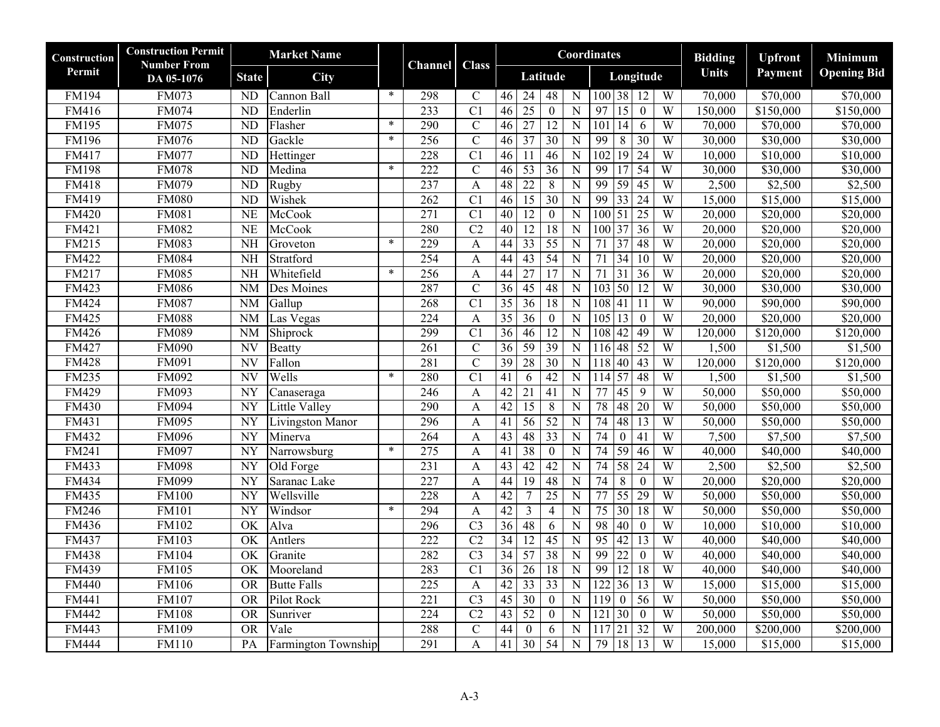| Construction | <b>Construction Permit</b>       | <b>Market Name</b>     |                      |        |                | <b>Class</b>     |                                                                         | Coordinates                                                | <b>Bidding</b> | <b>Upfront</b>       | Minimum              |
|--------------|----------------------------------|------------------------|----------------------|--------|----------------|------------------|-------------------------------------------------------------------------|------------------------------------------------------------|----------------|----------------------|----------------------|
| Permit       | <b>Number From</b><br>DA 05-1076 | <b>State</b>           | <b>City</b>          |        | <b>Channel</b> |                  | Latitude                                                                | Longitude                                                  | <b>Units</b>   | Payment              | <b>Opening Bid</b>   |
| <b>FM194</b> | <b>FM073</b>                     | <b>ND</b>              | Cannon Ball          | $\ast$ | 298            | $\mathbf C$      | 48<br>N<br>46<br>24                                                     | 100 38<br>$\overline{12}$<br>W                             | 70,000         | \$70,000             | \$70,000             |
| <b>FM416</b> | <b>FM074</b>                     | ND                     | Enderlin             |        | 233            | C1               | N<br>46<br>25<br>$\mathbf{0}$                                           | $\overline{15}$<br>W<br>97<br>$\overline{0}$               | 150,000        | \$150,000            | \$150,000            |
| <b>FM195</b> | <b>FM075</b>                     | $\overline{ND}$        | Flasher              | $\ast$ | 290            | $\mathcal{C}$    | 46<br>$\overline{27}$<br>$\overline{12}$<br>$\mathbf N$                 | $\overline{101}$<br>$\overline{14}$<br>$\overline{W}$<br>6 | 70,000         | \$70,000             | \$70,000             |
| <b>FM196</b> | <b>FM076</b>                     | ND                     | Gackle               | $\ast$ | 256            | $\overline{C}$   | 37<br>30<br>$\overline{N}$<br>$\overline{46}$                           | 99<br>$\overline{8}$<br>30<br>W                            | 30,000         | \$30,000             | \$30,000             |
| FM417        | <b>FM077</b>                     | N <sub>D</sub>         | Hettinger            |        | 228            | $\overline{C}$   | 46<br>46<br>$\mathbf N$<br>11                                           | $\overline{19}$<br>$\overline{W}$<br>102<br>24             | 10,000         | $\overline{$}10,000$ | $\overline{$10,000}$ |
| <b>FM198</b> | <b>FM078</b>                     | $\overline{ND}$        | Medina               | $\ast$ | 222            | $\overline{C}$   | 46<br>53<br>36<br>$\overline{N}$                                        | 99<br>$\overline{17}$<br>54<br>W                           | 30,000         | \$30,000             | \$30,000             |
| <b>FM418</b> | <b>FM079</b>                     | ND                     | Rugby                |        | 237            | A                | 48<br>$\overline{N}$<br>$\overline{22}$<br>$\overline{8}$               | 99<br>59<br>W<br>45                                        | 2,500          | \$2,500              | \$2,500              |
| FM419        | <b>FM080</b>                     | N <sub>D</sub>         | Wishek               |        | 262            | C <sub>1</sub>   | 46<br>15<br>30<br>$\mathbf N$                                           | $\overline{33}$<br>99<br>24<br>W                           | 15,000         | \$15,000             | \$15,000             |
| <b>FM420</b> | <b>FM081</b>                     | NE                     | McCook               |        | 271            | $\overline{C}$   | 40<br>$\overline{12}$<br>$\boldsymbol{0}$<br>N                          | $\vert 51 \vert$<br>25<br>W<br>100                         | 20,000         | \$20,000             | \$20,000             |
| FM421        | <b>FM082</b>                     | NE                     | McCook               |        | 280            | C <sub>2</sub>   | 40<br>12<br>18<br>$\overline{N}$                                        | 100 37<br>36<br>W                                          | 20,000         | \$20,000             | \$20,000             |
| FM215        | <b>FM083</b>                     | <b>NH</b>              | Groveton             | $\ast$ | 229            | $\mathbf{A}$     | 55<br>$\overline{N}$<br>44<br>$\overline{33}$                           | $\overline{37}$<br>48<br>W<br>$\overline{71}$              | 20,000         | \$20,000             | \$20,000             |
| FM422        | <b>FM084</b>                     | $\overline{\text{NH}}$ | Stratford            |        | 254            | $\mathbf{A}$     | 43<br>54<br>$\overline{N}$<br>$\overline{44}$                           | 34<br>W<br>$\overline{71}$<br>$\overline{10}$              | 20,000         | $\overline{$}20,000$ | \$20,000             |
| FM217        | <b>FM085</b>                     | <b>NH</b>              | Whitefield           | $\ast$ | 256            | $\boldsymbol{A}$ | 44<br>27<br>$\mathbf N$<br>17                                           | 71<br>31<br>36<br>W                                        | 20,000         | $\overline{$20,000}$ | \$20,000             |
| FM423        | <b>FM086</b>                     | <b>NM</b>              | Des Moines           |        | 287            | $\mathcal{C}$    | $\overline{36}$<br>$\overline{45}$<br>48<br>${\bf N}$                   | 50<br>W<br>$\overline{103}$<br>$\overline{12}$             | 30,000         | \$30,000             | \$30,000             |
| FM424        | <b>FM087</b>                     | <b>NM</b>              | $\overline{G}$ allup |        | 268            | $\overline{C}$   | $\overline{35}$<br>$\overline{36}$<br>$\overline{18}$<br>$\mathbf N$    | W<br>108<br>41<br>11                                       | 90,000         | \$90,000             | \$90,000             |
| FM425        | <b>FM088</b>                     | <b>NM</b>              | Las Vegas            |        | 224            | $\mathbf{A}$     | 35<br>36<br>$\boldsymbol{0}$<br>N                                       | 105<br>13<br>W<br>$\mathbf{0}$                             | 20,000         | \$20,000             | \$20,000             |
| <b>FM426</b> | <b>FM089</b>                     | $\overline{\text{NM}}$ | Shiprock             |        | 299            | C1               | $\overline{36}$<br>46<br>$\overline{12}$<br>$\mathbf N$                 | 42<br>49<br>W<br>108                                       | 120,000        | \$120,000            | \$120,000            |
| FM427        | <b>FM090</b>                     | $\overline{\text{NV}}$ | Beatty               |        | 261            | $\overline{C}$   | 36<br>59<br>39<br>${\bf N}$                                             | 48 52<br>W<br>116                                          | 1,500          | \$1,500              | \$1,500              |
| <b>FM428</b> | FM091                            | <b>NV</b>              | Fallon               |        | 281            | $\mathcal{C}$    | 28<br>39<br>30<br>$\mathbf N$                                           | 40<br>43<br>W<br>118                                       | 120,000        | \$120,000            | \$120,000            |
| FM235        | <b>FM092</b>                     | $\overline{\text{NV}}$ | Wells                | $\ast$ | 280            | C1               | $\overline{41}$<br>$\overline{42}$<br>$\overline{N}$<br>6               | 57<br>W<br>48<br>114                                       | 1,500          | \$1,500              | \$1,500              |
| <b>FM429</b> | <b>FM093</b>                     | $\overline{NY}$        | Canaseraga           |        | 246            | $\mathbf{A}$     | $\overline{42}$<br>$\overline{21}$<br>$\overline{41}$<br>${\bf N}$      | 45<br>W<br>77<br>9                                         | 50,000         | \$50,000             | \$50,000             |
| <b>FM430</b> | <b>FM094</b>                     | NY                     | <b>Little Valley</b> |        | 290            | A                | 42<br>$\overline{15}$<br>8<br>$\mathbf N$                               | 78<br>48<br>20<br>W                                        | 50,000         | \$50,000             | \$50,000             |
| FM431        | <b>FM095</b>                     | <b>NY</b>              | Livingston Manor     |        | 296            | $\mathbf{A}$     | $\overline{41}$<br>$\overline{56}$<br>$\overline{52}$<br>$\overline{N}$ | $\overline{74}$<br>48<br>W<br>13                           | 50,000         | $\overline{$}50,000$ | \$50,000             |
| FM432        | <b>FM096</b>                     | $\overline{NY}$        | Minerva              |        | 264            | A                | $\overline{43}$<br>48<br>$\overline{33}$<br>${\bf N}$                   | 74<br>W<br>$\overline{0}$<br>$\overline{41}$               | 7,500          | \$7,500              | \$7,500              |
| FM241        | <b>FM097</b>                     | <b>NY</b>              | Narrowsburg          | $\ast$ | 275            | $\mathbf{A}$     | 38<br>$\mathbf N$<br>41<br>$\mathbf{0}$                                 | 59<br>74<br>W<br>46                                        | 40,000         | \$40,000             | \$40,000             |
| FM433        | <b>FM098</b>                     | NY                     | Old Forge            |        | 231            | $\boldsymbol{A}$ | 42<br>43<br>42<br>${\bf N}$                                             | $\overline{74}$<br>58<br>$\overline{W}$<br>24              | 2,500          | \$2,500              | \$2,500              |
| FM434        | <b>FM099</b>                     | <b>NY</b>              | Saranac Lake         |        | 227            | A                | 19<br>48<br>44<br>$\overline{N}$                                        | 74<br>$\sqrt{8}$<br>W<br>$\mathbf{0}$                      | 20,000         | \$20,000             | \$20,000             |
| FM435        | <b>FM100</b>                     | <b>NY</b>              | Wellsville           |        | 228            | A                | 42<br>25<br>$\overline{N}$<br>$\tau$                                    | $\overline{55}$<br>77<br>29<br>W                           | 50,000         | \$50,000             | \$50,000             |
| <b>FM246</b> | <b>FM101</b>                     | $\overline{NY}$        | Windsor              | $\ast$ | 294            | $\mathbf{A}$     | $\overline{42}$<br>3<br>$\overline{4}$<br>N                             | $\overline{75}$<br>30 <sup>°</sup><br>18<br>$\overline{W}$ | 50,000         | \$50,000             | \$50,000             |
| <b>FM436</b> | <b>FM102</b>                     | OK                     | Alva                 |        | 296            | $\overline{C}3$  | 48<br>${\bf N}$<br>36<br>6                                              | 98<br>$\overline{40}$<br>$\overline{W}$<br>$\theta$        | 10,000         | \$10,000             | \$10,000             |
| FM437        | $\overline{\text{FM}}103$        | OK                     | Antlers              |        | 222            | C <sub>2</sub>   | $\overline{34}$<br>45<br>$\overline{N}$<br>12                           | 42<br>W<br>$\overline{95}$<br>13                           | 40,000         | \$40,000             | \$40,000             |
| <b>FM438</b> | <b>FM104</b>                     | $\overline{\text{OK}}$ | Granite              |        | 282            | C <sub>3</sub>   | 34<br>57<br>38<br>$\overline{N}$                                        | 99<br>$\overline{22}$<br>W<br>$\boldsymbol{0}$             | 40,000         | \$40,000             | \$40,000             |
| FM439        | <b>FM105</b>                     | OK                     | Mooreland            |        | 283            | $\overline{C}$   | $\overline{N}$<br>$\overline{36}$<br>$\overline{26}$<br>$\overline{18}$ | 12 <br>99<br>W<br>$\overline{18}$                          | 40,000         | \$40,000             | \$40,000             |
| <b>FM440</b> | <b>FM106</b>                     | $\overline{OR}$        | <b>Butte Falls</b>   |        | 225            | $\mathbf{A}$     | $\overline{42}$<br>$\overline{33}$<br>$\overline{33}$<br>N              | 122<br>36<br>$\overline{13}$<br>$\overline{W}$             | 15,000         | \$15,000             | \$15,000             |
| FM441        | <b>FM107</b>                     | <b>OR</b>              | Pilot Rock           |        | 221            | $\overline{C}3$  | $\overline{45}$<br>$\overline{30}$<br>${\bf N}$<br>$\mathbf{0}$         | 119<br>$\boldsymbol{0}$<br>W<br>56                         | 50,000         | $\overline{$}50,000$ | \$50,000             |
| <b>FM442</b> | <b>FM108</b>                     | $\overline{OR}$        | Sunriver             |        | 224            | $\overline{C2}$  | 43<br>52<br>$\overline{N}$<br>$\boldsymbol{0}$                          | W<br>121 30<br>$\mathbf{0}$                                | 50,000         | \$50,000             | \$50,000             |
| FM443        | <b>FM109</b>                     | <b>OR</b>              | Vale                 |        | 288            | $\mathcal{C}$    | 44<br>$\boldsymbol{0}$<br>6<br>N                                        | W<br>21<br>32<br>117                                       | 200,000        | \$200,000            | \$200,000            |
| <b>FM444</b> | <b>FM110</b>                     | PA                     | Farmington Township  |        | 291            | A                | 54<br>$\overline{41}$<br>$\overline{30}$<br>${\bf N}$                   | 13<br>W<br>79<br> 18                                       | 15,000         | \$15,000             | \$15,000             |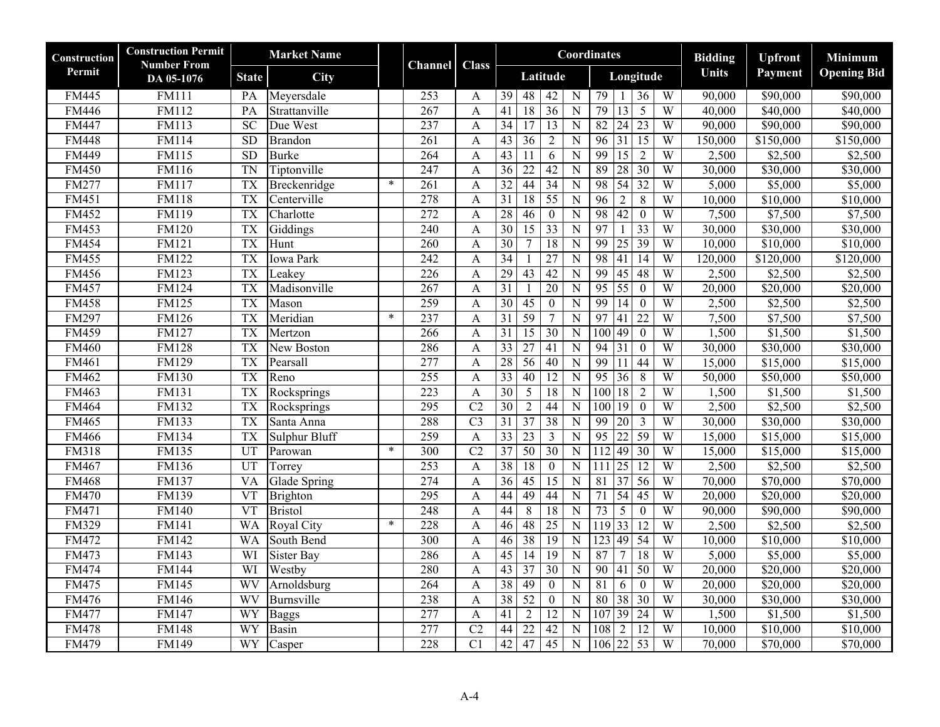| <b>Construction</b> | <b>Construction Permit</b><br><b>Number From</b> | <b>Market Name</b>     |                   |        | Channel          | <b>Class</b>    |                                                        |                                   | Coordinates                                             | <b>Bidding</b> | <b>Upfront</b>       | Minimum            |
|---------------------|--------------------------------------------------|------------------------|-------------------|--------|------------------|-----------------|--------------------------------------------------------|-----------------------------------|---------------------------------------------------------|----------------|----------------------|--------------------|
| Permit              | DA 05-1076                                       | <b>State</b>           | <b>City</b>       |        |                  |                 | Latitude                                               |                                   | Longitude                                               | <b>Units</b>   | Payment              | <b>Opening Bid</b> |
| FM445               | <b>FM111</b>                                     | PA                     | Meyersdale        |        | 253              | A               | $\overline{39}$<br>48<br>$\overline{42}$               | $\mathbf N$                       | 79<br>W<br>36                                           | 90,000         | \$90,000             | \$90,000           |
| <b>FM446</b>        | <b>FM112</b>                                     | PA                     | Strattanville     |        | 267              | A               | 41<br>18<br>36                                         | $\overline{N}$                    | 79<br>$\overline{13}$<br>W<br>5                         | 40,000         | \$40,000             | \$40,000           |
| <b>FM447</b>        | <b>FM113</b>                                     | $\overline{SC}$        | Due West          |        | 237              | $\mathbf{A}$    | $\overline{34}$<br>17                                  | $\overline{13}$<br>$\overline{N}$ | W<br>82<br>24<br>23                                     | 90,000         | \$90,000             | \$90,000           |
| <b>FM448</b>        | <b>FM114</b>                                     | SD                     | <b>Brandon</b>    |        | 261              | $\mathbf{A}$    | 43<br>$\overline{36}$<br>$\overline{2}$                | $\mathbf N$                       | W<br>$\overline{96}$<br>31<br>$\overline{15}$           | 150,000        | \$150,000            | \$150,000          |
| <b>FM449</b>        | <b>FM115</b>                                     | SD                     | <b>Burke</b>      |        | 264              | A               | $\overline{43}$<br>11<br>6                             | $\mathbf N$                       | $\overline{15}$<br>W<br>99<br>$\overline{2}$            | 2,500          | \$2,500              | \$2,500            |
| <b>FM450</b>        | <b>FM116</b>                                     | <b>TN</b>              | Tiptonville       |        | 247              | A               | $\overline{36}$<br>$\overline{22}$<br>42               | ${\bf N}$                         | 89<br>28<br>W<br>$\overline{30}$                        | 30,000         | \$30,000             | \$30,000           |
| <b>FM277</b>        | <b>FM117</b>                                     | <b>TX</b>              | Breckenridge      | $\ast$ | 261              | $\mathbf{A}$    | 32<br>44<br>34                                         | $\overline{N}$                    | $54$ 32<br>98<br>W                                      | 5,000          | \$5,000              | \$5,000            |
| FM451               | <b>FM118</b>                                     | <b>TX</b>              | Centerville       |        | 278              | A               | $\overline{31}$<br>$\overline{55}$<br>18               | $\mathbf N$                       | $\overline{2}$<br>8<br>$\overline{W}$<br>96             | 10,000         | \$10,000             | \$10,000           |
| FM452               | <b>FM119</b>                                     | <b>TX</b>              | Charlotte         |        | 272              | A               | 28<br>46<br>$\boldsymbol{0}$                           | $\mathbf N$                       | 42<br>W<br>98<br>$\mathbf{0}$                           | 7,500          | \$7,500              | \$7,500            |
| <b>FM453</b>        | <b>FM120</b>                                     | <b>TX</b>              | Giddings          |        | 240              | $\mathbf{A}$    | 30<br>33<br>$\overline{15}$                            | $\mathbf N$                       | 97<br>33<br>W                                           | 30,000         | \$30,000             | \$30,000           |
| <b>FM454</b>        | <b>FM121</b>                                     | <b>TX</b>              | Hunt              |        | 260              | A               | 30<br>$\tau$                                           | 18<br>$\overline{N}$              | 99<br>39<br>W<br>25                                     | 10,000         | \$10,000             | \$10,000           |
| <b>FM455</b>        | FM122                                            | <b>TX</b>              | <b>Iowa Park</b>  |        | 242              | $\mathbf{A}$    | 34<br>27                                               | $\overline{N}$                    | 98<br>41<br>$\overline{14}$<br>W                        | 120,000        | \$120,000            | \$120,000          |
| <b>FM456</b>        | <b>FM123</b>                                     | <b>TX</b>              | Leakey            |        | 226              | $\mathbf{A}$    | 29<br>43<br>42                                         | $\mathbf N$                       | 45<br>99<br>48<br>$\overline{W}$                        | 2,500          | \$2,500              | \$2,500            |
| <b>FM457</b>        | <b>FM124</b>                                     | <b>TX</b>              | Madisonville      |        | 267              | A               | $\overline{31}$<br>$\overline{20}$                     | N                                 | 95<br>55<br>W<br>$\theta$                               | 20,000         | \$20,000             | \$20,000           |
| <b>FM458</b>        | FM125                                            | <b>TX</b>              | Mason             |        | 259              | $\mathbf{A}$    | $\overline{30}$<br>$\overline{45}$<br>$\boldsymbol{0}$ | ${\bf N}$                         | W<br>$\overline{99}$<br>14<br>$\mathbf{0}$              | 2,500          | \$2,500              | \$2,500            |
| FM297               | <b>FM126</b>                                     | <b>TX</b>              | Meridian          | $\ast$ | 237              | A               | 59<br>$\overline{31}$<br>7                             | N                                 | 97<br>W<br>$\overline{41}$<br>$\overline{22}$           | 7,500          | \$7,500              | \$7,500            |
| <b>FM459</b>        | <b>FM127</b>                                     | <b>TX</b>              | Mertzon           |        | 266              | A               | $\overline{31}$<br>$\overline{15}$<br>30               | $\overline{N}$                    | 49<br>100<br>$\overline{0}$<br>W                        | 1,500          | \$1,500              | \$1,500            |
| <b>FM460</b>        | <b>FM128</b>                                     | <b>TX</b>              | New Boston        |        | 286              | A               | $\overline{33}$<br>$\overline{27}$<br>$\overline{41}$  | $\mathbf N$                       | 94<br>$\overline{31}$<br>$\mathbf{0}$<br>$\overline{W}$ | 30,000         | \$30,000             | \$30,000           |
| FM461               | FM129                                            | <b>TX</b>              | Pearsall          |        | 277              | A               | 28<br>56<br>40                                         | ${\bf N}$                         | 99<br>11<br>44<br>W                                     | 15,000         | $\overline{$}15,000$ | \$15,000           |
| FM462               | <b>FM130</b>                                     | <b>TX</b>              | Reno              |        | 255              | A               | 33<br>40                                               | 12<br>$\overline{N}$              | 95<br>36<br>W<br>8                                      | 50,000         | \$50,000             | \$50,000           |
| FM463               | <b>FM131</b>                                     | <b>TX</b>              | Rocksprings       |        | 223              | $\mathbf{A}$    | 30<br>5                                                | 18<br>N                           | 100<br>18<br>W<br>2                                     | 1,500          | \$1,500              | \$1,500            |
| <b>FM464</b>        | <b>FM132</b>                                     | <b>TX</b>              | Rocksprings       |        | $\overline{295}$ | C <sub>2</sub>  | $\overline{30}$<br>$\overline{44}$<br>$\overline{2}$   | ${\bf N}$                         | 19<br>100<br>$\mathbf{0}$<br>$\overline{W}$             | 2,500          | \$2,500              | \$2,500            |
| <b>FM465</b>        | <b>FM133</b>                                     | <b>TX</b>              | Santa Anna        |        | 288              | $\overline{C}3$ | $\overline{31}$<br>$\overline{37}$<br>$\overline{38}$  | ${\bf N}$                         | 99<br>W<br>$\overline{20}$<br>$\overline{3}$            | 30,000         | $\overline{$}30,000$ | \$30,000           |
| <b>FM466</b>        | <b>FM134</b>                                     | <b>TX</b>              | Sulphur Bluff     |        | 259              | A               | 33<br>23<br>3                                          | N                                 | 95<br>59<br>W<br>$\overline{22}$                        | 15,000         | \$15,000             | \$15,000           |
| FM318               | <b>FM135</b>                                     | UT                     | Parowan           | $\ast$ | 300              | C <sub>2</sub>  | 37<br>50<br>30                                         | $\overline{N}$                    | 112<br>49<br>30<br>W                                    | 15,000         | \$15,000             | \$15,000           |
| FM467               | <b>FM136</b>                                     | UT                     | Torrey            |        | $\overline{253}$ | A               | $\overline{38}$<br>$\overline{18}$<br>$\boldsymbol{0}$ | $\mathbf N$                       | 25<br>$\overline{W}$<br>111<br>12                       | 2,500          | \$2,500              | \$2,500            |
| <b>FM468</b>        | <b>FM137</b>                                     | <b>VA</b>              | Glade Spring      |        | 274              | A               | 36<br>45<br>15                                         | $\overline{N}$                    | W<br>81<br>$\overline{37}$<br>56                        | 70,000         | \$70,000             | \$70,000           |
| <b>FM470</b>        | <b>FM139</b>                                     | <b>VT</b>              | <b>Brighton</b>   |        | 295              | $\mathbf{A}$    | 44<br>49<br>44                                         | $\overline{N}$                    | 54<br>71<br>45<br>W                                     | 20,000         | \$20,000             | \$20,000           |
| FM471               | <b>FM140</b>                                     | $\overline{\text{VT}}$ | <b>Bristol</b>    |        | 248              | A               | 44<br>$\,8\,$                                          | 18<br>$\mathbf N$                 | $\overline{73}$<br>5<br>$\overline{W}$<br>$\theta$      | 90,000         | \$90,000             | \$90,000           |
| FM329               | <b>FM141</b>                                     | <b>WA</b>              | <b>Royal City</b> | $\ast$ | 228              | A               | 48<br>$\overline{25}$<br>46                            | $\mathbf N$                       | 33<br>W<br>119<br>$\overline{12}$                       | 2,500          | \$2,500              | \$2,500            |
| <b>FM472</b>        | <b>FM142</b>                                     | <b>WA</b>              | South Bend        |        | 300              | A               | 38<br>19<br>46                                         | $\mathbf N$                       | W<br>123<br>49<br>$\overline{54}$                       | 10,000         | \$10,000             | \$10,000           |
| FM473               | <b>FM143</b>                                     | WI                     | <b>Sister Bay</b> |        | 286              | $\mathbf{A}$    | 45<br>$\overline{14}$                                  | 19<br>$\overline{N}$              | 87<br>W<br>$\overline{7}$<br>18                         | 5,000          | \$5,000              | \$5,000            |
| <b>FM474</b>        | <b>FM144</b>                                     | WI                     | Westby            |        | 280              | A               | 37<br>30<br>$\overline{43}$                            | $\overline{N}$                    | 50<br>W<br>$\overline{90}$<br>41                        | 20,000         | $\overline{$}20,000$ | \$20,000           |
| <b>FM475</b>        | <b>FM145</b>                                     | WV                     | Arnoldsburg       |        | 264              | A               | $\overline{38}$<br>49<br>$\boldsymbol{0}$              | $\mathbf N$                       | 81<br>6<br>$\boldsymbol{0}$<br>$\overline{W}$           | 20,000         | \$20,000             | \$20,000           |
| <b>FM476</b>        | <b>FM146</b>                                     | WV                     | Burnsville        |        | 238              | A               | 38<br>$\overline{52}$<br>$\mathbf{0}$                  | $\mathbf N$                       | 38<br>W<br>$\overline{30}$<br>80                        | 30,000         | \$30,000             | \$30,000           |
| <b>FM477</b>        | <b>FM147</b>                                     | WY                     | <b>Baggs</b>      |        | 277              | $\mathbf{A}$    | 41<br>$\overline{2}$                                   | 12<br>$\overline{N}$              | 107 39<br>W<br>24                                       | 1,500          | \$1,500              | \$1,500            |
| <b>FM478</b>        | <b>FM148</b>                                     | <b>WY</b>              | Basin             |        | 277              | $\overline{C2}$ | 44<br>22<br>42                                         | N                                 | $\overline{2}$<br>$\overline{W}$<br>108<br>12           | 10,000         | \$10,000             | \$10,000           |
| <b>FM479</b>        | <b>FM149</b>                                     | WY                     | Casper            |        | 228              | C1              | 42<br>47                                               | $\overline{45}$<br>$\overline{N}$ | 106 22<br>$\overline{53}$<br>W                          | 70,000         | \$70,000             | \$70,000           |